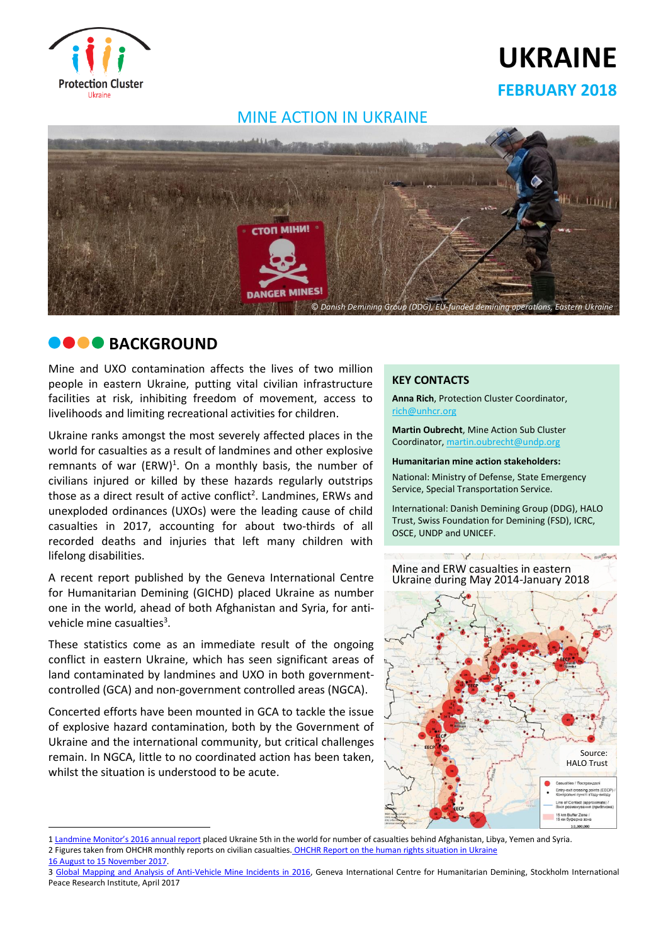

# **UKRAINE**

## **FEBRUARY 2018**

## MINE ACTION IN UKRAINE



## **BACKGROUND**

Mine and UXO contamination affects the lives of two million people in eastern Ukraine, putting vital civilian infrastructure facilities at risk, inhibiting freedom of movement, access to livelihoods and limiting recreational activities for children.

Ukraine ranks amongst the most severely affected places in the world for casualties as a result of landmines and other explosive remnants of war  $(ERW)^1$ . On a monthly basis, the number of civilians injured or killed by these hazards regularly outstrips those as a direct result of active conflict<sup>2</sup>. Landmines, ERWs and unexploded ordinances (UXOs) were the leading cause of child casualties in 2017, accounting for about two-thirds of all recorded deaths and injuries that left many children with lifelong disabilities.

A recent report published by the Geneva International Centre for Humanitarian Demining (GICHD) placed Ukraine as number one in the world, ahead of both Afghanistan and Syria, for antivehicle mine casualties<sup>3</sup>.

These statistics come as an immediate result of the ongoing conflict in eastern Ukraine, which has seen significant areas of land contaminated by landmines and UXO in both governmentcontrolled (GCA) and non-government controlled areas (NGCA).

Concerted efforts have been mounted in GCA to tackle the issue of explosive hazard contamination, both by the Government of Ukraine and the international community, but critical challenges remain. In NGCA, little to no coordinated action has been taken, whilst the situation is understood to be acute.

#### **KEY CONTACTS**

**Anna Rich**, Protection Cluster Coordinator, [rich@unhcr.org](mailto:rich@unhcr.org)

**Martin Oubrecht**, Mine Action Sub Cluster Coordinator[, martin.oubrecht@undp.org](mailto:martin.oubrecht@undp.org)

**Humanitarian mine action stakeholders:** National: Ministry of Defense, State Emergency

Service, Special Transportation Service. International: Danish Demining Group (DDG), HALO

Trust, Swiss Foundation for Demining (FSD), ICRC, OSCE, UNDP and UNICEF.

Mine and ERW casualties in eastern Ukraine during May 2014-January 2018

 $\sqrt{1}$ 



<sup>1</sup> [Landmine Monitor's 2016 annual report](http://www.the-monitor.org/media/2386748/Landmine-Monitor-2016-web.pdf) placed Ukraine 5th in the world for number of casualties behind Afghanistan, Libya, Yemen and Syria.

 $\overline{\phantom{a}}$ 

<sup>2</sup> Figures taken from OHCHR monthly reports on civilian casualties. [OHCHR Report on the human rights situation in Ukraine](http://www.ohchr.org/Documents/Countries/UA/UAReport20th_EN.pdf) 

[<sup>16</sup> August to 15 November 2017.](http://www.ohchr.org/Documents/Countries/UA/UAReport20th_EN.pdf)

<sup>3</sup> [Global Mapping and Analysis of Anti-Vehicle Mine Incidents in 2016,](https://www.sipri.org/publications/2017/other-publications/global-mapping-and-analysis-anti-vehicle-mine-incidents-2016) Geneva International Centre for Humanitarian Demining, Stockholm International Peace Research Institute, April 2017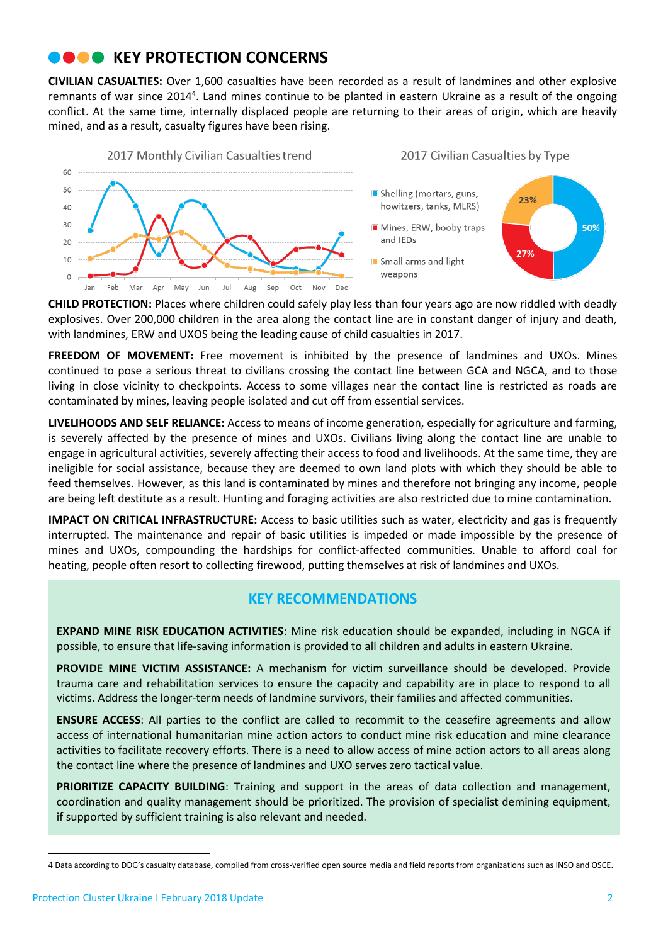## **COOK KEY PROTECTION CONCERNS**

**CIVILIAN CASUALTIES:** Over 1,600 casualties have been recorded as a result of landmines and other explosive remnants of war since 2014<sup>4</sup>. Land mines continue to be planted in eastern Ukraine as a result of the ongoing conflict. At the same time, internally displaced people are returning to their areas of origin, which are heavily mined, and as a result, casualty figures have been rising.



**CHILD PROTECTION:** Places where children could safely play less than four years ago are now riddled with deadly explosives. Over 200,000 children in the area along the contact line are in constant danger of injury and death, with landmines, ERW and UXOS being the leading cause of child casualties in 2017.

**FREEDOM OF MOVEMENT:** Free movement is inhibited by the presence of landmines and UXOs. Mines continued to pose a serious threat to civilians crossing the contact line between GCA and NGCA, and to those living in close vicinity to checkpoints. Access to some villages near the contact line is restricted as roads are contaminated by mines, leaving people isolated and cut off from essential services.

**LIVELIHOODS AND SELF RELIANCE:** Access to means of income generation, especially for agriculture and farming, is severely affected by the presence of mines and UXOs. Civilians living along the contact line are unable to engage in agricultural activities, severely affecting their access to food and livelihoods. At the same time, they are ineligible for social assistance, because they are deemed to own land plots with which they should be able to feed themselves. However, as this land is contaminated by mines and therefore not bringing any income, people are being left destitute as a result. Hunting and foraging activities are also restricted due to mine contamination.

**IMPACT ON CRITICAL INFRASTRUCTURE:** Access to basic utilities such as water, electricity and gas is frequently interrupted. The maintenance and repair of basic utilities is impeded or made impossible by the presence of mines and UXOs, compounding the hardships for conflict-affected communities. Unable to afford coal for heating, people often resort to collecting firewood, putting themselves at risk of landmines and UXOs.

### **KEY RECOMMENDATIONS**

**EXPAND MINE RISK EDUCATION ACTIVITIES**: Mine risk education should be expanded, including in NGCA if possible, to ensure that life-saving information is provided to all children and adults in eastern Ukraine.

**PROVIDE MINE VICTIM ASSISTANCE:** A mechanism for victim surveillance should be developed. Provide trauma care and rehabilitation services to ensure the capacity and capability are in place to respond to all victims. Address the longer-term needs of landmine survivors, their families and affected communities.

**ENSURE ACCESS**: All parties to the conflict are called to recommit to the ceasefire agreements and allow access of international humanitarian mine action actors to conduct mine risk education and mine clearance activities to facilitate recovery efforts. There is a need to allow access of mine action actors to all areas along the contact line where the presence of landmines and UXO serves zero tactical value.

**PRIORITIZE CAPACITY BUILDING:** Training and support in the areas of data collection and management, coordination and quality management should be prioritized. The provision of specialist demining equipment, if supported by sufficient training is also relevant and needed.

 $\overline{\phantom{a}}$ 

<sup>4</sup> Data according to DDG's casualty database, compiled from cross-verified open source media and field reports from organizations such as INSO and OSCE.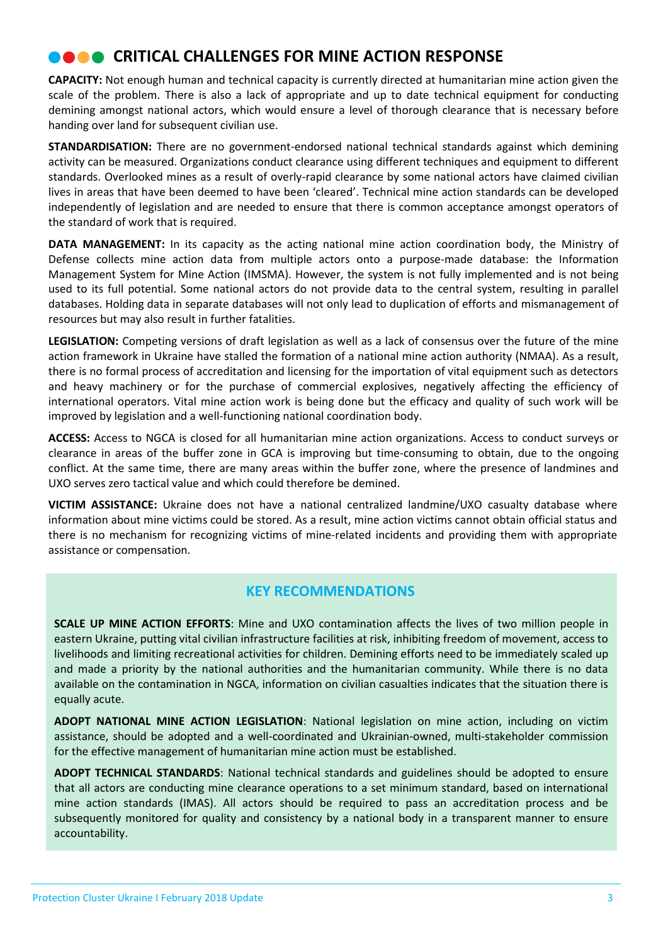## **COOK CRITICAL CHALLENGES FOR MINE ACTION RESPONSE**

**CAPACITY:** Not enough human and technical capacity is currently directed at humanitarian mine action given the scale of the problem. There is also a lack of appropriate and up to date technical equipment for conducting demining amongst national actors, which would ensure a level of thorough clearance that is necessary before handing over land for subsequent civilian use.

**STANDARDISATION:** There are no government-endorsed national technical standards against which demining activity can be measured. Organizations conduct clearance using different techniques and equipment to different standards. Overlooked mines as a result of overly-rapid clearance by some national actors have claimed civilian lives in areas that have been deemed to have been 'cleared'. Technical mine action standards can be developed independently of legislation and are needed to ensure that there is common acceptance amongst operators of the standard of work that is required.

**DATA MANAGEMENT:** In its capacity as the acting national mine action coordination body, the Ministry of Defense collects mine action data from multiple actors onto a purpose-made database: the Information Management System for Mine Action (IMSMA). However, the system is not fully implemented and is not being used to its full potential. Some national actors do not provide data to the central system, resulting in parallel databases. Holding data in separate databases will not only lead to duplication of efforts and mismanagement of resources but may also result in further fatalities.

**LEGISLATION:** Competing versions of draft legislation as well as a lack of consensus over the future of the mine action framework in Ukraine have stalled the formation of a national mine action authority (NMAA). As a result, there is no formal process of accreditation and licensing for the importation of vital equipment such as detectors and heavy machinery or for the purchase of commercial explosives, negatively affecting the efficiency of international operators. Vital mine action work is being done but the efficacy and quality of such work will be improved by legislation and a well-functioning national coordination body.

**ACCESS:** Access to NGCA is closed for all humanitarian mine action organizations. Access to conduct surveys or clearance in areas of the buffer zone in GCA is improving but time-consuming to obtain, due to the ongoing conflict. At the same time, there are many areas within the buffer zone, where the presence of landmines and UXO serves zero tactical value and which could therefore be demined.

**VICTIM ASSISTANCE:** Ukraine does not have a national centralized landmine/UXO casualty database where information about mine victims could be stored. As a result, mine action victims cannot obtain official status and there is no mechanism for recognizing victims of mine-related incidents and providing them with appropriate assistance or compensation.

### **KEY RECOMMENDATIONS**

**SCALE UP MINE ACTION EFFORTS**: Mine and UXO contamination affects the lives of two million people in eastern Ukraine, putting vital civilian infrastructure facilities at risk, inhibiting freedom of movement, access to livelihoods and limiting recreational activities for children. Demining efforts need to be immediately scaled up and made a priority by the national authorities and the humanitarian community. While there is no data available on the contamination in NGCA, information on civilian casualties indicates that the situation there is equally acute.

**ADOPT NATIONAL MINE ACTION LEGISLATION**: National legislation on mine action, including on victim assistance, should be adopted and a well-coordinated and Ukrainian-owned, multi-stakeholder commission for the effective management of humanitarian mine action must be established.

**ADOPT TECHNICAL STANDARDS**: National technical standards and guidelines should be adopted to ensure that all actors are conducting mine clearance operations to a set minimum standard, based on international mine action standards (IMAS). All actors should be required to pass an accreditation process and be subsequently monitored for quality and consistency by a national body in a transparent manner to ensure accountability.